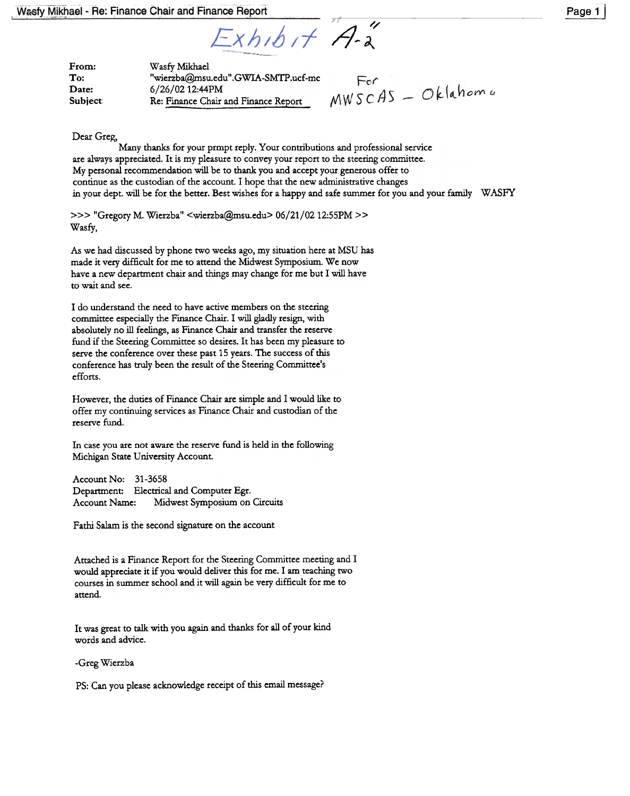$\overline{A}''$  $\mathcal{L}$ 

| From:   | Wasfy Mikhael                        |  |
|---------|--------------------------------------|--|
| To:     | "wierzba@msu.edu".GWIA-SMTP.ucf-mc   |  |
| Date:   | 6/26/02 12:44PM                      |  |
| Subject | Re: Finance Chair and Finance Report |  |

Dear Greg,

Many thanks for your prmpt reply. Your contributions and professional service are always appreciated. It is my pleasure to convey your report to the steering committee. My personal recommendation will be to thank you and accept your generous offer to continue as the custodian of the account. I hope that the new administrative changes in your dept. will be for the better. Best wishes for a happy and safe summer for you and your family WASFY

»> "Gregory M. Wierzba" <wierzba@msu.edu> 06/21/02 12:55PM » Wasfy,

As we had discussed by phone two weeks ago, my situation here at MSU has made it very difficult for me to attend the Midwest Symposium. We now have a new department chair and things may change for me but I will have to wait and see.

I do understand the need to have active members on the steering committee especially the Finance Chair. I will gladly resign, with absolutely no ill feelings, as Finance Chair and transfer the reserve fund if the Steering Committee so desires. It has been my pleasure to serve the conference over these past 15 years. The success of this conference has truly been the result of the Steering Committee's efforts.

However, the duties of Finance Chair are simple and I would like to offer my continuing services as Finance Chair and custodian of the reserve fund.

In case you are not aware the reserve fund is held in the following Michigan State University Account.

Account No: 31-3658 Department: Electrical and Computer Egr. Account Name: Midwest Symposium on Circuits

Pathi Salam is the second signature on the account.

Attached is a Finance Report for the Steering Committee meeting and I would appreciate it if you would deliver this for me. I am teaching two courses in summer school and it will again be very difficult for me to attend.

It was great to talk with you again and thanks for all of your kind words and advice.

-Greg Wierzba

PS: Can you please acknowledge receipt of this email message?